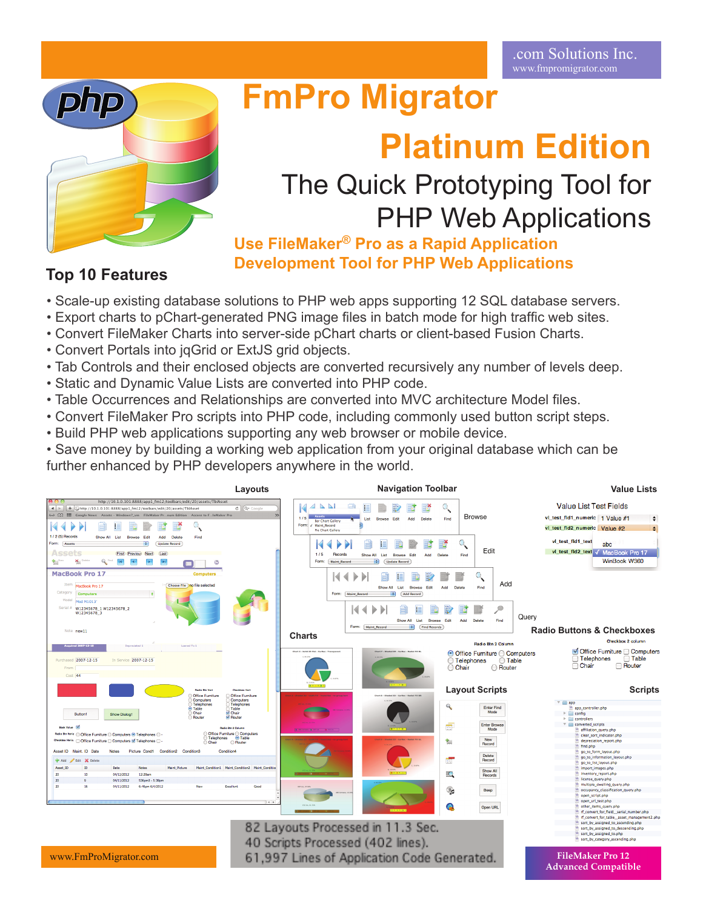

# **FmPro Migrator**

## **Platinum Edition**

## The Quick Prototyping Tool for PHP Web Applications

**Use FileMaker® Pro as a Rapid Application Development Tool for PHP Web Applications**

## **Top 10 Features**

- Scale-up existing database solutions to PHP web apps supporting 12 SQL database servers.
- Export charts to pChart-generated PNG image files in batch mode for high traffic web sites.
- Convert FileMaker Charts into server-side pChart charts or client-based Fusion Charts.
- Convert Portals into jqGrid or ExtJS grid objects.
- Tab Controls and their enclosed objects are converted recursively any number of levels deep.
- Static and Dynamic Value Lists are converted into PHP code.
- Table Occurrences and Relationships are converted into MVC architecture Model files.
- Convert FileMaker Pro scripts into PHP code, including commonly used button script steps.
- Build PHP web applications supporting any web browser or mobile device.

• Save money by building a working web application from your original database which can be further enhanced by PHP developers anywhere in the world.